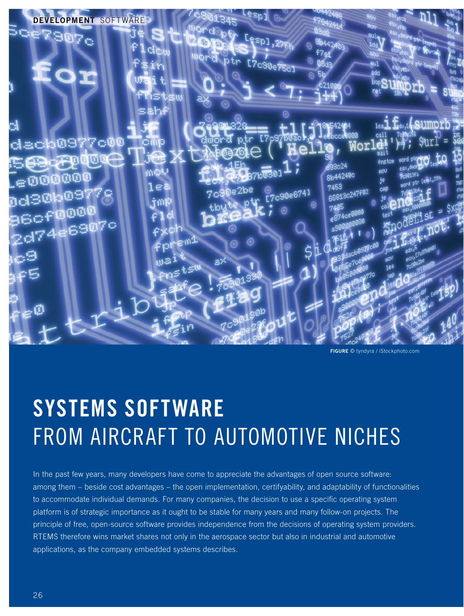

FIGURF © tyndyra / iStockphoto.com

# SYSTEMS SOFTWARE FROM AIRCRAFT TO AUTOMOTIVE NICHES

In the past few years, many developers have come to appreciate the advantages of open source software: among them – beside cost advantages – the open implementation, certifyability, and adaptability of functionalities to accommodate individual demands. For many companies, the decision to use a specific operating system platform is of strategic importance as it ought to be stable for many years and many follow-on projects. The principle of free, open-source software provides independence from the decisions of operating system providers. RTEMS therefore wins market shares not only in the aerospace sector but also in industrial and automotive applications, as the company embedded systems describes.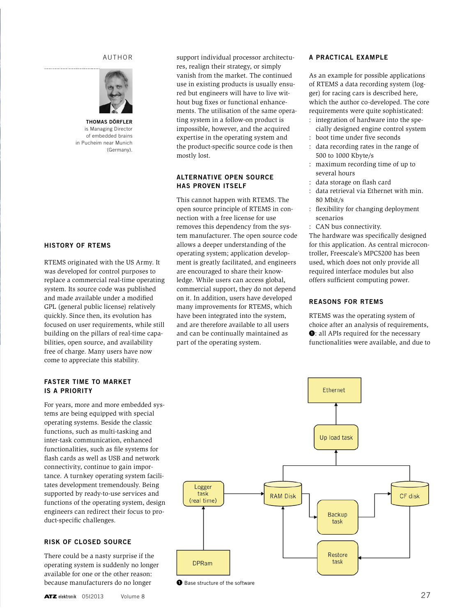#### AUTHOR



THOMAS DÖRFLER is Managing Director of embedded brains in Pucheim near Munich (Germany).

# HISTORY OF RTEMS

RTEMS originated with the US Army. It was developed for control purposes to replace a commercial real-time operating system. Its source code was published and made available under a modified GPL (general public license) relatively quickly. Since then, its evolution has focused on user requirements, while still building on the pillars of real-time capabilities, open source, and availability free of charge. Many users have now come to appreciate this stability.

# FASTER TIME TO MARKET IS A PRIORITY

For years, more and more embedded systems are being equipped with special operating systems. Beside the classic functions, such as multi-tasking and inter-task communication, enhanced functionalities, such as file systems for flash cards as well as USB and network connectivity, continue to gain importance. A turnkey operating system facilitates development tremendously. Being supported by ready-to-use services and functions of the operating system, design engineers can redirect their focus to product-specific challenges.

# RISK OF CLOSED SOURCE

There could be a nasty surprise if the operating system is suddenly no longer available for one or the other reason: because manufacturers do no longer

support individual processor architectures, realign their strategy, or simply vanish from the market. The continued use in existing products is usually ensured but engineers will have to live without bug fixes or functional enhancements. The utilisation of the same operating system in a follow-on product is impossible, however, and the acquired expertise in the operating system and the product-specific source code is then mostly lost.

# ALTERNATIVE OPEN SOURCE HAS PROVEN ITSELF

This cannot happen with RTEMS. The open source principle of RTEMS in connection with a free license for use removes this dependency from the system manufacturer. The open source code allows a deeper understanding of the operating system; application development is greatly facilitated, and engineers are encouraged to share their knowledge. While users can access global, commercial support, they do not depend on it. In addition, users have developed many improvements for RTEMS, which have been integrated into the system, and are therefore available to all users and can be continually maintained as part of the operating system.

#### A PRACTICAL EXAMPLE

As an example for possible applications of RTEMS a data recording system (logger) for racing cars is described here, which the author co-developed. The core requirements were quite sophisticated:

- : integration of hardware into the specially designed engine control system : boot time under five seconds
- data recording rates in the range of 500 to 1000 Kbyte/s
- : maximum recording time of up to several hours
- : data storage on flash card
- : data retrieval via Ethernet with min. 80 Mbit/s
- : flexibility for changing deployment scenarios
- : CAN bus connectivity.

The hardware was specifically designed for this application. As central microcontroller, Freescale's MPC5200 has been used, which does not only provide all required interface modules but also offers sufficient computing power.

### REASONS FOR RTEMS

RTEMS was the operating system of choice after an analysis of requirements, ➊: all APIs required for the necessary functionalities were available, and due to



➊ Base structure of the software